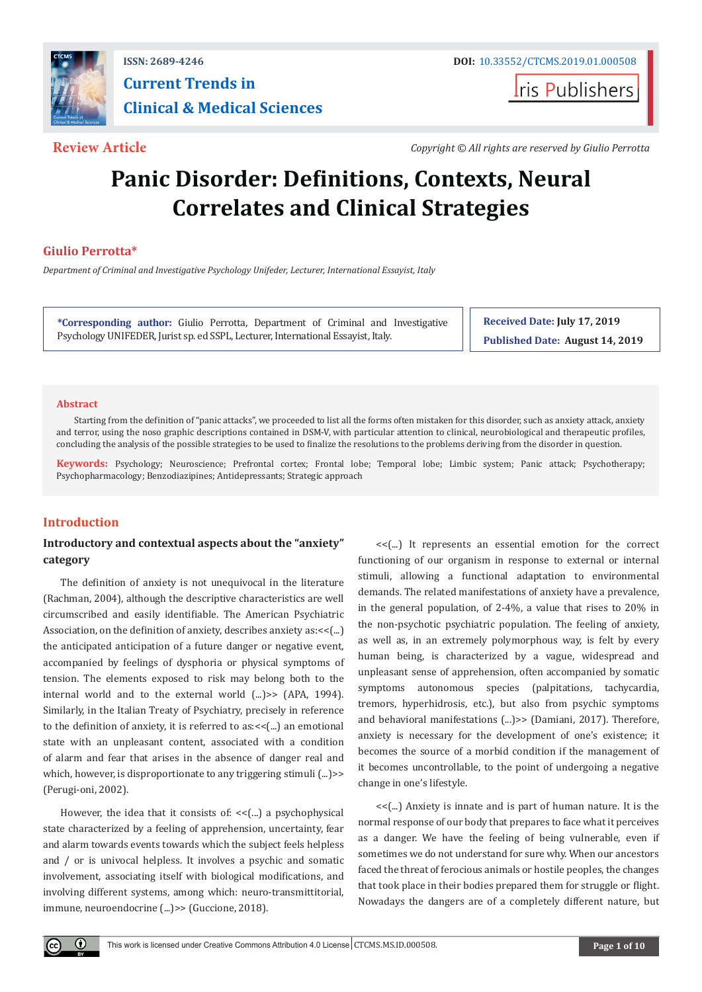

## **ISSN: 2689-4246 DOI:** [10.33552/CTCMS.2019.01.000508](http://dx.doi.org/10.33552/CTCMS.2019.01.000508) **Current Trends in Clinical & Medical Sciences**

**Iris Publishers** 

**Review Article** *Copyright © All rights are reserved by Giulio Perrotta* 

# **Panic Disorder: Definitions, Contexts, Neural Correlates and Clinical Strategies**

### **Giulio Perrotta\***

*Department of Criminal and Investigative Psychology Unifeder, Lecturer, International Essayist, Italy*

**\*Corresponding author:** Giulio Perrotta, Department of Criminal and Investigative Psychology UNIFEDER, Jurist sp. ed SSPL, Lecturer, International Essayist, Italy.

**Received Date: July 17, 2019 Published Date: August 14, 2019**

#### **Abstract**

Starting from the definition of "panic attacks", we proceeded to list all the forms often mistaken for this disorder, such as anxiety attack, anxiety and terror, using the noso graphic descriptions contained in DSM-V, with particular attention to clinical, neurobiological and therapeutic profiles, concluding the analysis of the possible strategies to be used to finalize the resolutions to the problems deriving from the disorder in question.

**Keywords:** Psychology; Neuroscience; Prefrontal cortex; Frontal lobe; Temporal lobe; Limbic system; Panic attack; Psychotherapy; Psychopharmacology; Benzodiazipines; Antidepressants; Strategic approach

### **Introduction**

#### **Introductory and contextual aspects about the "anxiety" category**

The definition of anxiety is not unequivocal in the literature (Rachman, 2004), although the descriptive characteristics are well circumscribed and easily identifiable. The American Psychiatric Association, on the definition of anxiety, describes anxiety as:<<(...) the anticipated anticipation of a future danger or negative event, accompanied by feelings of dysphoria or physical symptoms of tension. The elements exposed to risk may belong both to the internal world and to the external world (...)>> (APA, 1994). Similarly, in the Italian Treaty of Psychiatry, precisely in reference to the definition of anxiety, it is referred to as:<<(...) an emotional state with an unpleasant content, associated with a condition of alarm and fear that arises in the absence of danger real and which, however, is disproportionate to any triggering stimuli (...) >> (Perugi-oni, 2002).

However, the idea that it consists of: << [...] a psychophysical state characterized by a feeling of apprehension, uncertainty, fear and alarm towards events towards which the subject feels helpless and / or is univocal helpless. It involves a psychic and somatic involvement, associating itself with biological modifications, and involving different systems, among which: neuro-transmittitorial, immune, neuroendocrine (...)>> (Guccione, 2018).

<<(...) It represents an essential emotion for the correct functioning of our organism in response to external or internal stimuli, allowing a functional adaptation to environmental demands. The related manifestations of anxiety have a prevalence, in the general population, of 2-4%, a value that rises to 20% in the non-psychotic psychiatric population. The feeling of anxiety, as well as, in an extremely polymorphous way, is felt by every human being, is characterized by a vague, widespread and unpleasant sense of apprehension, often accompanied by somatic symptoms autonomous species (palpitations, tachycardia, tremors, hyperhidrosis, etc.), but also from psychic symptoms and behavioral manifestations (...)>> (Damiani, 2017). Therefore, anxiety is necessary for the development of one's existence; it becomes the source of a morbid condition if the management of it becomes uncontrollable, to the point of undergoing a negative change in one's lifestyle.

<<(...) Anxiety is innate and is part of human nature. It is the normal response of our body that prepares to face what it perceives as a danger. We have the feeling of being vulnerable, even if sometimes we do not understand for sure why. When our ancestors faced the threat of ferocious animals or hostile peoples, the changes that took place in their bodies prepared them for struggle or flight. Nowadays the dangers are of a completely different nature, but

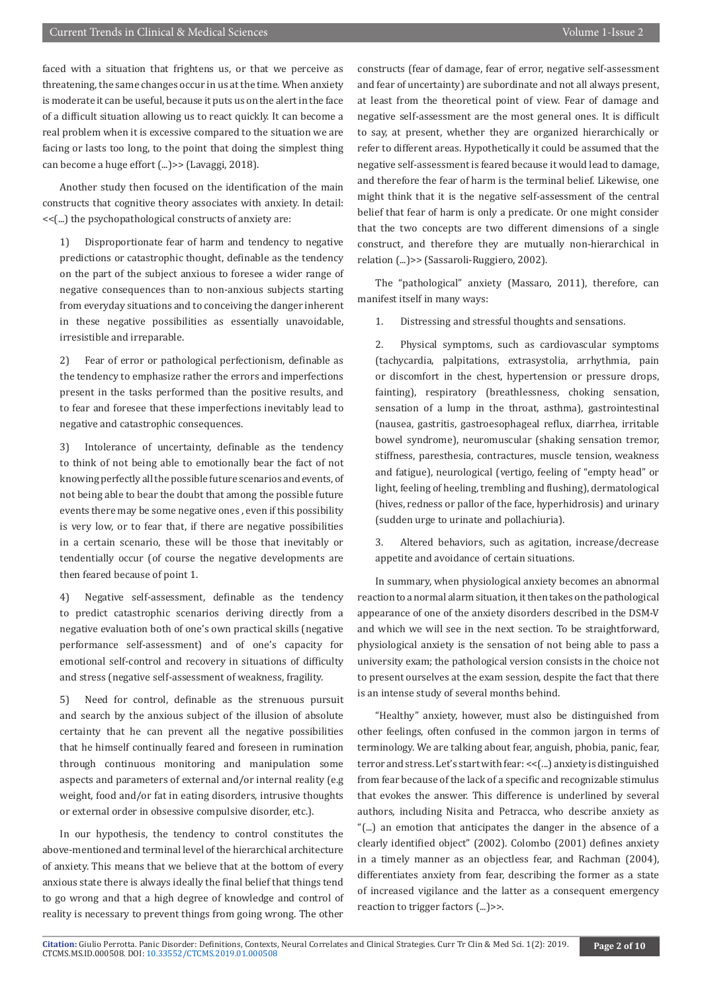faced with a situation that frightens us, or that we perceive as threatening, the same changes occur in us at the time. When anxiety is moderate it can be useful, because it puts us on the alert in the face of a difficult situation allowing us to react quickly. It can become a real problem when it is excessive compared to the situation we are facing or lasts too long, to the point that doing the simplest thing can become a huge effort (...)>> (Lavaggi, 2018).

Another study then focused on the identification of the main constructs that cognitive theory associates with anxiety. In detail: <<(...) the psychopathological constructs of anxiety are:

1) Disproportionate fear of harm and tendency to negative predictions or catastrophic thought, definable as the tendency on the part of the subject anxious to foresee a wider range of negative consequences than to non-anxious subjects starting from everyday situations and to conceiving the danger inherent in these negative possibilities as essentially unavoidable, irresistible and irreparable.

2) Fear of error or pathological perfectionism, definable as the tendency to emphasize rather the errors and imperfections present in the tasks performed than the positive results, and to fear and foresee that these imperfections inevitably lead to negative and catastrophic consequences.

3) Intolerance of uncertainty, definable as the tendency to think of not being able to emotionally bear the fact of not knowing perfectly all the possible future scenarios and events, of not being able to bear the doubt that among the possible future events there may be some negative ones , even if this possibility is very low, or to fear that, if there are negative possibilities in a certain scenario, these will be those that inevitably or tendentially occur (of course the negative developments are then feared because of point 1.

4) Negative self-assessment, definable as the tendency to predict catastrophic scenarios deriving directly from a negative evaluation both of one's own practical skills (negative performance self-assessment) and of one's capacity for emotional self-control and recovery in situations of difficulty and stress (negative self-assessment of weakness, fragility.

5) Need for control, definable as the strenuous pursuit and search by the anxious subject of the illusion of absolute certainty that he can prevent all the negative possibilities that he himself continually feared and foreseen in rumination through continuous monitoring and manipulation some aspects and parameters of external and/or internal reality (e.g weight, food and/or fat in eating disorders, intrusive thoughts or external order in obsessive compulsive disorder, etc.).

In our hypothesis, the tendency to control constitutes the above-mentioned and terminal level of the hierarchical architecture of anxiety. This means that we believe that at the bottom of every anxious state there is always ideally the final belief that things tend to go wrong and that a high degree of knowledge and control of reality is necessary to prevent things from going wrong. The other

constructs (fear of damage, fear of error, negative self-assessment and fear of uncertainty) are subordinate and not all always present, at least from the theoretical point of view. Fear of damage and negative self-assessment are the most general ones. It is difficult to say, at present, whether they are organized hierarchically or refer to different areas. Hypothetically it could be assumed that the negative self-assessment is feared because it would lead to damage, and therefore the fear of harm is the terminal belief. Likewise, one might think that it is the negative self-assessment of the central belief that fear of harm is only a predicate. Or one might consider that the two concepts are two different dimensions of a single construct, and therefore they are mutually non-hierarchical in relation (...)>> (Sassaroli-Ruggiero, 2002).

The "pathological" anxiety (Massaro, 2011), therefore, can manifest itself in many ways:

1. Distressing and stressful thoughts and sensations.

2. Physical symptoms, such as cardiovascular symptoms (tachycardia, palpitations, extrasystolia, arrhythmia, pain or discomfort in the chest, hypertension or pressure drops, fainting), respiratory (breathlessness, choking sensation, sensation of a lump in the throat, asthma), gastrointestinal (nausea, gastritis, gastroesophageal reflux, diarrhea, irritable bowel syndrome), neuromuscular (shaking sensation tremor, stiffness, paresthesia, contractures, muscle tension, weakness and fatigue), neurological (vertigo, feeling of "empty head" or light, feeling of heeling, trembling and flushing), dermatological (hives, redness or pallor of the face, hyperhidrosis) and urinary (sudden urge to urinate and pollachiuria).

3. Altered behaviors, such as agitation, increase/decrease appetite and avoidance of certain situations.

In summary, when physiological anxiety becomes an abnormal reaction to a normal alarm situation, it then takes on the pathological appearance of one of the anxiety disorders described in the DSM-V and which we will see in the next section. To be straightforward, physiological anxiety is the sensation of not being able to pass a university exam; the pathological version consists in the choice not to present ourselves at the exam session, despite the fact that there is an intense study of several months behind.

"Healthy" anxiety, however, must also be distinguished from other feelings, often confused in the common jargon in terms of terminology. We are talking about fear, anguish, phobia, panic, fear, terror and stress. Let's start with fear: <<(...) anxiety is distinguished from fear because of the lack of a specific and recognizable stimulus that evokes the answer. This difference is underlined by several authors, including Nisita and Petracca, who describe anxiety as "(...) an emotion that anticipates the danger in the absence of a clearly identified object" (2002). Colombo (2001) defines anxiety in a timely manner as an objectless fear, and Rachman (2004), differentiates anxiety from fear, describing the former as a state of increased vigilance and the latter as a consequent emergency reaction to trigger factors (...)>>.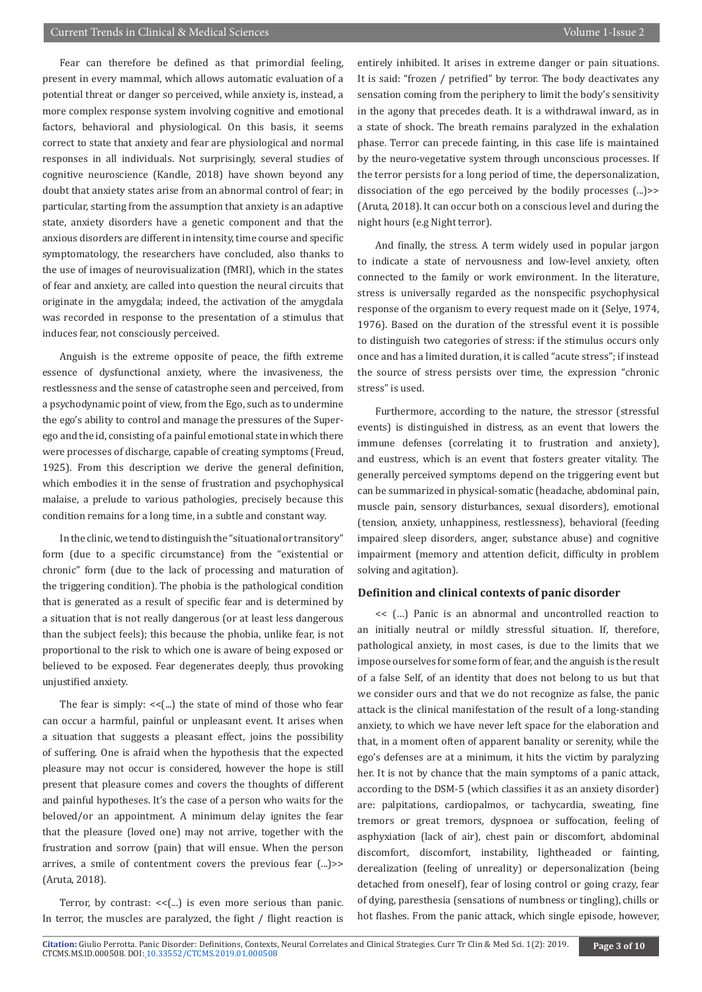Fear can therefore be defined as that primordial feeling, present in every mammal, which allows automatic evaluation of a potential threat or danger so perceived, while anxiety is, instead, a more complex response system involving cognitive and emotional factors, behavioral and physiological. On this basis, it seems correct to state that anxiety and fear are physiological and normal responses in all individuals. Not surprisingly, several studies of cognitive neuroscience (Kandle, 2018) have shown beyond any doubt that anxiety states arise from an abnormal control of fear; in particular, starting from the assumption that anxiety is an adaptive state, anxiety disorders have a genetic component and that the anxious disorders are different in intensity, time course and specific symptomatology, the researchers have concluded, also thanks to the use of images of neurovisualization (fMRI), which in the states of fear and anxiety, are called into question the neural circuits that originate in the amygdala; indeed, the activation of the amygdala was recorded in response to the presentation of a stimulus that induces fear, not consciously perceived.

Anguish is the extreme opposite of peace, the fifth extreme essence of dysfunctional anxiety, where the invasiveness, the restlessness and the sense of catastrophe seen and perceived, from a psychodynamic point of view, from the Ego, such as to undermine the ego's ability to control and manage the pressures of the Superego and the id, consisting of a painful emotional state in which there were processes of discharge, capable of creating symptoms (Freud, 1925). From this description we derive the general definition, which embodies it in the sense of frustration and psychophysical malaise, a prelude to various pathologies, precisely because this condition remains for a long time, in a subtle and constant way.

In the clinic, we tend to distinguish the "situational or transitory" form (due to a specific circumstance) from the "existential or chronic" form (due to the lack of processing and maturation of the triggering condition). The phobia is the pathological condition that is generated as a result of specific fear and is determined by a situation that is not really dangerous (or at least less dangerous than the subject feels); this because the phobia, unlike fear, is not proportional to the risk to which one is aware of being exposed or believed to be exposed. Fear degenerates deeply, thus provoking unjustified anxiety.

The fear is simply:  $<<$ [...] the state of mind of those who fear can occur a harmful, painful or unpleasant event. It arises when a situation that suggests a pleasant effect, joins the possibility of suffering. One is afraid when the hypothesis that the expected pleasure may not occur is considered, however the hope is still present that pleasure comes and covers the thoughts of different and painful hypotheses. It's the case of a person who waits for the beloved/or an appointment. A minimum delay ignites the fear that the pleasure (loved one) may not arrive, together with the frustration and sorrow (pain) that will ensue. When the person arrives, a smile of contentment covers the previous fear (...)>> (Aruta, 2018).

Terror, by contrast:  $<<$ (...) is even more serious than panic. In terror, the muscles are paralyzed, the fight / flight reaction is entirely inhibited. It arises in extreme danger or pain situations. It is said: "frozen / petrified" by terror. The body deactivates any sensation coming from the periphery to limit the body's sensitivity in the agony that precedes death. It is a withdrawal inward, as in a state of shock. The breath remains paralyzed in the exhalation phase. Terror can precede fainting, in this case life is maintained by the neuro-vegetative system through unconscious processes. If the terror persists for a long period of time, the depersonalization, dissociation of the ego perceived by the bodily processes (...)>> (Aruta, 2018). It can occur both on a conscious level and during the night hours (e.g Night terror).

And finally, the stress. A term widely used in popular jargon to indicate a state of nervousness and low-level anxiety, often connected to the family or work environment. In the literature, stress is universally regarded as the nonspecific psychophysical response of the organism to every request made on it (Selye, 1974, 1976). Based on the duration of the stressful event it is possible to distinguish two categories of stress: if the stimulus occurs only once and has a limited duration, it is called "acute stress"; if instead the source of stress persists over time, the expression "chronic stress" is used.

Furthermore, according to the nature, the stressor (stressful events) is distinguished in distress, as an event that lowers the immune defenses (correlating it to frustration and anxiety), and eustress, which is an event that fosters greater vitality. The generally perceived symptoms depend on the triggering event but can be summarized in physical-somatic (headache, abdominal pain, muscle pain, sensory disturbances, sexual disorders), emotional (tension, anxiety, unhappiness, restlessness), behavioral (feeding impaired sleep disorders, anger, substance abuse) and cognitive impairment (memory and attention deficit, difficulty in problem solving and agitation).

#### **Definition and clinical contexts of panic disorder**

<< (…) Panic is an abnormal and uncontrolled reaction to an initially neutral or mildly stressful situation. If, therefore, pathological anxiety, in most cases, is due to the limits that we impose ourselves for some form of fear, and the anguish is the result of a false Self, of an identity that does not belong to us but that we consider ours and that we do not recognize as false, the panic attack is the clinical manifestation of the result of a long-standing anxiety, to which we have never left space for the elaboration and that, in a moment often of apparent banality or serenity, while the ego's defenses are at a minimum, it hits the victim by paralyzing her. It is not by chance that the main symptoms of a panic attack, according to the DSM-5 (which classifies it as an anxiety disorder) are: palpitations, cardiopalmos, or tachycardia, sweating, fine tremors or great tremors, dyspnoea or suffocation, feeling of asphyxiation (lack of air), chest pain or discomfort, abdominal discomfort, discomfort, instability, lightheaded or fainting, derealization (feeling of unreality) or depersonalization (being detached from oneself), fear of losing control or going crazy, fear of dying, paresthesia (sensations of numbness or tingling), chills or hot flashes. From the panic attack, which single episode, however,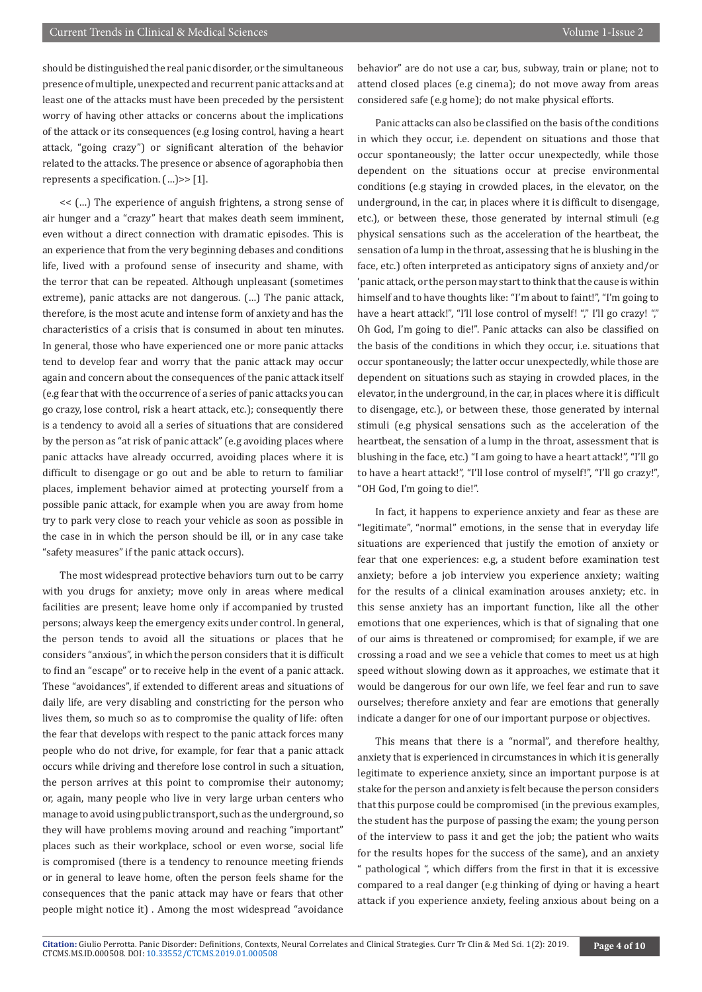should be distinguished the real panic disorder, or the simultaneous presence of multiple, unexpected and recurrent panic attacks and at least one of the attacks must have been preceded by the persistent worry of having other attacks or concerns about the implications of the attack or its consequences (e.g losing control, having a heart attack, "going crazy") or significant alteration of the behavior related to the attacks. The presence or absence of agoraphobia then represents a specification. (…)>> [1].

<< (…) The experience of anguish frightens, a strong sense of air hunger and a "crazy" heart that makes death seem imminent, even without a direct connection with dramatic episodes. This is an experience that from the very beginning debases and conditions life, lived with a profound sense of insecurity and shame, with the terror that can be repeated. Although unpleasant (sometimes extreme), panic attacks are not dangerous. (…) The panic attack, therefore, is the most acute and intense form of anxiety and has the characteristics of a crisis that is consumed in about ten minutes. In general, those who have experienced one or more panic attacks tend to develop fear and worry that the panic attack may occur again and concern about the consequences of the panic attack itself (e.g fear that with the occurrence of a series of panic attacks you can go crazy, lose control, risk a heart attack, etc.); consequently there is a tendency to avoid all a series of situations that are considered by the person as "at risk of panic attack" (e.g avoiding places where panic attacks have already occurred, avoiding places where it is difficult to disengage or go out and be able to return to familiar places, implement behavior aimed at protecting yourself from a possible panic attack, for example when you are away from home try to park very close to reach your vehicle as soon as possible in the case in in which the person should be ill, or in any case take "safety measures" if the panic attack occurs).

The most widespread protective behaviors turn out to be carry with you drugs for anxiety; move only in areas where medical facilities are present; leave home only if accompanied by trusted persons; always keep the emergency exits under control. In general, the person tends to avoid all the situations or places that he considers "anxious", in which the person considers that it is difficult to find an "escape" or to receive help in the event of a panic attack. These "avoidances", if extended to different areas and situations of daily life, are very disabling and constricting for the person who lives them, so much so as to compromise the quality of life: often the fear that develops with respect to the panic attack forces many people who do not drive, for example, for fear that a panic attack occurs while driving and therefore lose control in such a situation, the person arrives at this point to compromise their autonomy; or, again, many people who live in very large urban centers who manage to avoid using public transport, such as the underground, so they will have problems moving around and reaching "important" places such as their workplace, school or even worse, social life is compromised (there is a tendency to renounce meeting friends or in general to leave home, often the person feels shame for the consequences that the panic attack may have or fears that other people might notice it) . Among the most widespread "avoidance

behavior" are do not use a car, bus, subway, train or plane; not to attend closed places (e.g cinema); do not move away from areas considered safe (e.g home); do not make physical efforts.

Panic attacks can also be classified on the basis of the conditions in which they occur, i.e. dependent on situations and those that occur spontaneously; the latter occur unexpectedly, while those dependent on the situations occur at precise environmental conditions (e.g staying in crowded places, in the elevator, on the underground, in the car, in places where it is difficult to disengage, etc.), or between these, those generated by internal stimuli (e.g physical sensations such as the acceleration of the heartbeat, the sensation of a lump in the throat, assessing that he is blushing in the face, etc.) often interpreted as anticipatory signs of anxiety and/or 'panic attack, or the person may start to think that the cause is within himself and to have thoughts like: "I'm about to faint!", "I'm going to have a heart attack!", "I'll lose control of myself! "," I'll go crazy! "," Oh God, I'm going to die!". Panic attacks can also be classified on the basis of the conditions in which they occur, i.e. situations that occur spontaneously; the latter occur unexpectedly, while those are dependent on situations such as staying in crowded places, in the elevator, in the underground, in the car, in places where it is difficult to disengage, etc.), or between these, those generated by internal stimuli (e.g physical sensations such as the acceleration of the heartbeat, the sensation of a lump in the throat, assessment that is blushing in the face, etc.) "I am going to have a heart attack!", "I'll go to have a heart attack!", "I'll lose control of myself!", "I'll go crazy!", "OH God, I'm going to die!".

In fact, it happens to experience anxiety and fear as these are "legitimate", "normal" emotions, in the sense that in everyday life situations are experienced that justify the emotion of anxiety or fear that one experiences: e.g, a student before examination test anxiety; before a job interview you experience anxiety; waiting for the results of a clinical examination arouses anxiety; etc. in this sense anxiety has an important function, like all the other emotions that one experiences, which is that of signaling that one of our aims is threatened or compromised; for example, if we are crossing a road and we see a vehicle that comes to meet us at high speed without slowing down as it approaches, we estimate that it would be dangerous for our own life, we feel fear and run to save ourselves; therefore anxiety and fear are emotions that generally indicate a danger for one of our important purpose or objectives.

This means that there is a "normal", and therefore healthy, anxiety that is experienced in circumstances in which it is generally legitimate to experience anxiety, since an important purpose is at stake for the person and anxiety is felt because the person considers that this purpose could be compromised (in the previous examples, the student has the purpose of passing the exam; the young person of the interview to pass it and get the job; the patient who waits for the results hopes for the success of the same), and an anxiety " pathological ", which differs from the first in that it is excessive compared to a real danger (e.g thinking of dying or having a heart attack if you experience anxiety, feeling anxious about being on a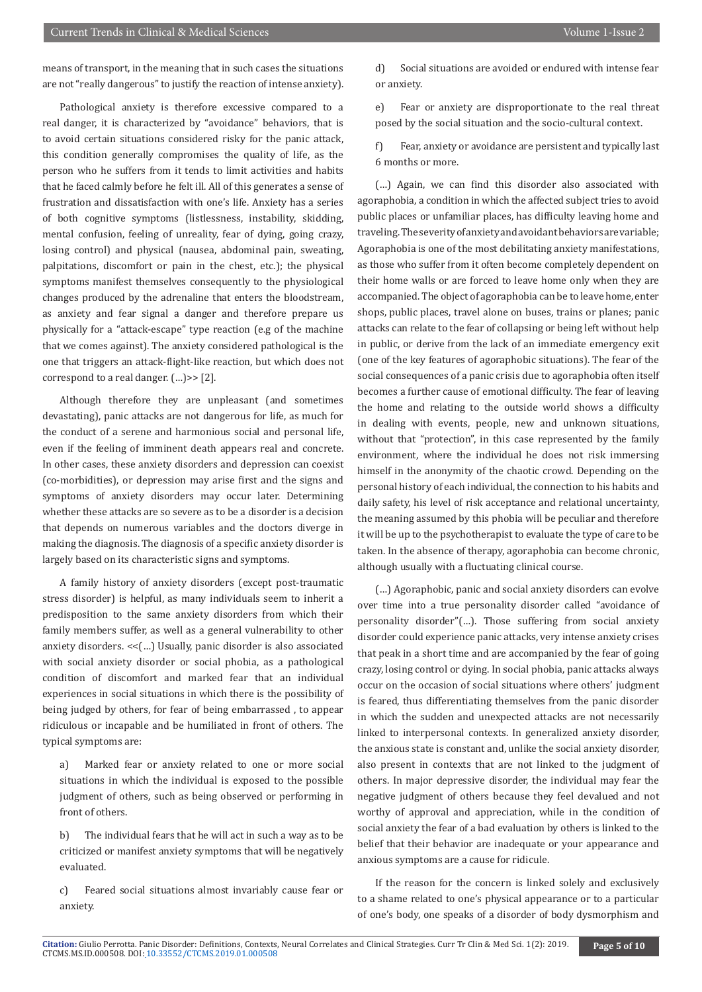means of transport, in the meaning that in such cases the situations are not "really dangerous" to justify the reaction of intense anxiety).

Pathological anxiety is therefore excessive compared to a real danger, it is characterized by "avoidance" behaviors, that is to avoid certain situations considered risky for the panic attack, this condition generally compromises the quality of life, as the person who he suffers from it tends to limit activities and habits that he faced calmly before he felt ill. All of this generates a sense of frustration and dissatisfaction with one's life. Anxiety has a series of both cognitive symptoms (listlessness, instability, skidding, mental confusion, feeling of unreality, fear of dying, going crazy, losing control) and physical (nausea, abdominal pain, sweating, palpitations, discomfort or pain in the chest, etc.); the physical symptoms manifest themselves consequently to the physiological changes produced by the adrenaline that enters the bloodstream, as anxiety and fear signal a danger and therefore prepare us physically for a "attack-escape" type reaction (e.g of the machine that we comes against). The anxiety considered pathological is the one that triggers an attack-flight-like reaction, but which does not correspond to a real danger.  $(...)$ >> [2].

Although therefore they are unpleasant (and sometimes devastating), panic attacks are not dangerous for life, as much for the conduct of a serene and harmonious social and personal life, even if the feeling of imminent death appears real and concrete. In other cases, these anxiety disorders and depression can coexist (co-morbidities), or depression may arise first and the signs and symptoms of anxiety disorders may occur later. Determining whether these attacks are so severe as to be a disorder is a decision that depends on numerous variables and the doctors diverge in making the diagnosis. The diagnosis of a specific anxiety disorder is largely based on its characteristic signs and symptoms.

A family history of anxiety disorders (except post-traumatic stress disorder) is helpful, as many individuals seem to inherit a predisposition to the same anxiety disorders from which their family members suffer, as well as a general vulnerability to other anxiety disorders. <<(…) Usually, panic disorder is also associated with social anxiety disorder or social phobia, as a pathological condition of discomfort and marked fear that an individual experiences in social situations in which there is the possibility of being judged by others, for fear of being embarrassed , to appear ridiculous or incapable and be humiliated in front of others. The typical symptoms are:

a) Marked fear or anxiety related to one or more social situations in which the individual is exposed to the possible judgment of others, such as being observed or performing in front of others.

b) The individual fears that he will act in such a way as to be criticized or manifest anxiety symptoms that will be negatively evaluated.

c) Feared social situations almost invariably cause fear or anxiety.

d) Social situations are avoided or endured with intense fear or anxiety.

e) Fear or anxiety are disproportionate to the real threat posed by the social situation and the socio-cultural context.

f) Fear, anxiety or avoidance are persistent and typically last 6 months or more.

(…) Again, we can find this disorder also associated with agoraphobia, a condition in which the affected subject tries to avoid public places or unfamiliar places, has difficulty leaving home and traveling. The severity of anxiety and avoidant behaviors are variable; Agoraphobia is one of the most debilitating anxiety manifestations, as those who suffer from it often become completely dependent on their home walls or are forced to leave home only when they are accompanied. The object of agoraphobia can be to leave home, enter shops, public places, travel alone on buses, trains or planes; panic attacks can relate to the fear of collapsing or being left without help in public, or derive from the lack of an immediate emergency exit (one of the key features of agoraphobic situations). The fear of the social consequences of a panic crisis due to agoraphobia often itself becomes a further cause of emotional difficulty. The fear of leaving the home and relating to the outside world shows a difficulty in dealing with events, people, new and unknown situations, without that "protection", in this case represented by the family environment, where the individual he does not risk immersing himself in the anonymity of the chaotic crowd. Depending on the personal history of each individual, the connection to his habits and daily safety, his level of risk acceptance and relational uncertainty, the meaning assumed by this phobia will be peculiar and therefore it will be up to the psychotherapist to evaluate the type of care to be taken. In the absence of therapy, agoraphobia can become chronic, although usually with a fluctuating clinical course.

(…) Agoraphobic, panic and social anxiety disorders can evolve over time into a true personality disorder called "avoidance of personality disorder"(…). Those suffering from social anxiety disorder could experience panic attacks, very intense anxiety crises that peak in a short time and are accompanied by the fear of going crazy, losing control or dying. In social phobia, panic attacks always occur on the occasion of social situations where others' judgment is feared, thus differentiating themselves from the panic disorder in which the sudden and unexpected attacks are not necessarily linked to interpersonal contexts. In generalized anxiety disorder, the anxious state is constant and, unlike the social anxiety disorder, also present in contexts that are not linked to the judgment of others. In major depressive disorder, the individual may fear the negative judgment of others because they feel devalued and not worthy of approval and appreciation, while in the condition of social anxiety the fear of a bad evaluation by others is linked to the belief that their behavior are inadequate or your appearance and anxious symptoms are a cause for ridicule.

If the reason for the concern is linked solely and exclusively to a shame related to one's physical appearance or to a particular of one's body, one speaks of a disorder of body dysmorphism and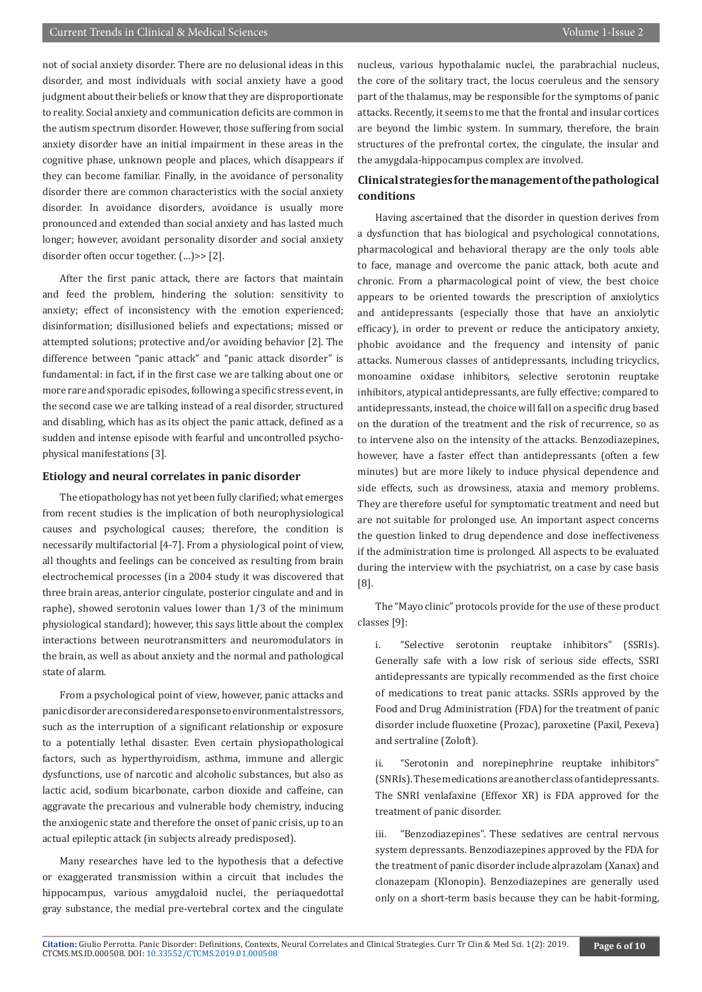not of social anxiety disorder. There are no delusional ideas in this disorder, and most individuals with social anxiety have a good judgment about their beliefs or know that they are disproportionate to reality. Social anxiety and communication deficits are common in the autism spectrum disorder. However, those suffering from social anxiety disorder have an initial impairment in these areas in the cognitive phase, unknown people and places, which disappears if they can become familiar. Finally, in the avoidance of personality disorder there are common characteristics with the social anxiety disorder. In avoidance disorders, avoidance is usually more pronounced and extended than social anxiety and has lasted much longer; however, avoidant personality disorder and social anxiety disorder often occur together.  $(...)>> [2]$ .

After the first panic attack, there are factors that maintain and feed the problem, hindering the solution: sensitivity to anxiety; effect of inconsistency with the emotion experienced; disinformation; disillusioned beliefs and expectations; missed or attempted solutions; protective and/or avoiding behavior [2]. The difference between "panic attack" and "panic attack disorder" is fundamental: in fact, if in the first case we are talking about one or more rare and sporadic episodes, following a specific stress event, in the second case we are talking instead of a real disorder, structured and disabling, which has as its object the panic attack, defined as a sudden and intense episode with fearful and uncontrolled psychophysical manifestations [3].

#### **Etiology and neural correlates in panic disorder**

The etiopathology has not yet been fully clarified; what emerges from recent studies is the implication of both neurophysiological causes and psychological causes; therefore, the condition is necessarily multifactorial [4-7]. From a physiological point of view, all thoughts and feelings can be conceived as resulting from brain electrochemical processes (in a 2004 study it was discovered that three brain areas, anterior cingulate, posterior cingulate and and in raphe), showed serotonin values lower than 1/3 of the minimum physiological standard); however, this says little about the complex interactions between neurotransmitters and neuromodulators in the brain, as well as about anxiety and the normal and pathological state of alarm.

From a psychological point of view, however, panic attacks and panic disorder are considered a response to environmental stressors, such as the interruption of a significant relationship or exposure to a potentially lethal disaster. Even certain physiopathological factors, such as hyperthyroidism, asthma, immune and allergic dysfunctions, use of narcotic and alcoholic substances, but also as lactic acid, sodium bicarbonate, carbon dioxide and caffeine, can aggravate the precarious and vulnerable body chemistry, inducing the anxiogenic state and therefore the onset of panic crisis, up to an actual epileptic attack (in subjects already predisposed).

Many researches have led to the hypothesis that a defective or exaggerated transmission within a circuit that includes the hippocampus, various amygdaloid nuclei, the periaquedottal gray substance, the medial pre-vertebral cortex and the cingulate nucleus, various hypothalamic nuclei, the parabrachial nucleus, the core of the solitary tract, the locus coeruleus and the sensory part of the thalamus, may be responsible for the symptoms of panic attacks. Recently, it seems to me that the frontal and insular cortices are beyond the limbic system. In summary, therefore, the brain structures of the prefrontal cortex, the cingulate, the insular and the amygdala-hippocampus complex are involved.

#### **Clinical strategies for the management of the pathological conditions**

Having ascertained that the disorder in question derives from a dysfunction that has biological and psychological connotations, pharmacological and behavioral therapy are the only tools able to face, manage and overcome the panic attack, both acute and chronic. From a pharmacological point of view, the best choice appears to be oriented towards the prescription of anxiolytics and antidepressants (especially those that have an anxiolytic efficacy), in order to prevent or reduce the anticipatory anxiety, phobic avoidance and the frequency and intensity of panic attacks. Numerous classes of antidepressants, including tricyclics, monoamine oxidase inhibitors, selective serotonin reuptake inhibitors, atypical antidepressants, are fully effective; compared to antidepressants, instead, the choice will fall on a specific drug based on the duration of the treatment and the risk of recurrence, so as to intervene also on the intensity of the attacks. Benzodiazepines, however, have a faster effect than antidepressants (often a few minutes) but are more likely to induce physical dependence and side effects, such as drowsiness, ataxia and memory problems. They are therefore useful for symptomatic treatment and need but are not suitable for prolonged use. An important aspect concerns the question linked to drug dependence and dose ineffectiveness if the administration time is prolonged. All aspects to be evaluated during the interview with the psychiatrist, on a case by case basis [8].

The "Mayo clinic" protocols provide for the use of these product classes [9]:

i. "Selective serotonin reuptake inhibitors" (SSRIs). Generally safe with a low risk of serious side effects, SSRI antidepressants are typically recommended as the first choice of medications to treat panic attacks. SSRIs approved by the Food and Drug Administration (FDA) for the treatment of panic disorder include fluoxetine (Prozac), paroxetine (Paxil, Pexeva) and sertraline (Zoloft).

ii. "Serotonin and norepinephrine reuptake inhibitors" (SNRIs). These medications are another class of antidepressants. The SNRI venlafaxine (Effexor XR) is FDA approved for the treatment of panic disorder.

iii. "Benzodiazepines". These sedatives are central nervous system depressants. Benzodiazepines approved by the FDA for the treatment of panic disorder include alprazolam (Xanax) and clonazepam (Klonopin). Benzodiazepines are generally used only on a short-term basis because they can be habit-forming,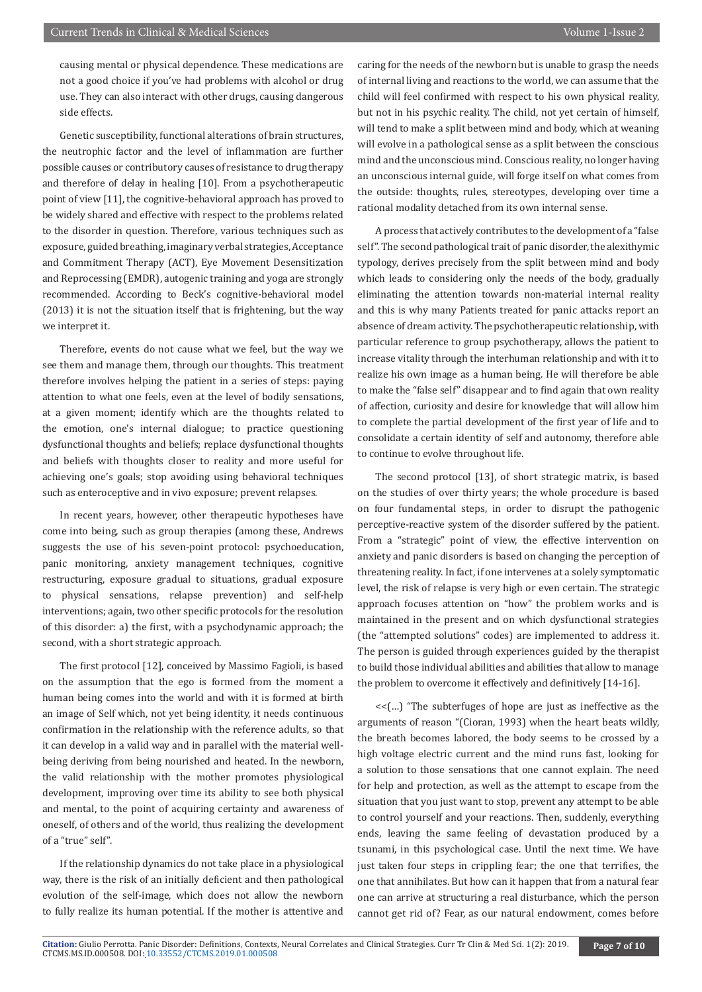causing mental or physical dependence. These medications are not a good choice if you've had problems with alcohol or drug use. They can also interact with other drugs, causing dangerous side effects.

Genetic susceptibility, functional alterations of brain structures, the neutrophic factor and the level of inflammation are further possible causes or contributory causes of resistance to drug therapy and therefore of delay in healing [10]. From a psychotherapeutic point of view [11], the cognitive-behavioral approach has proved to be widely shared and effective with respect to the problems related to the disorder in question. Therefore, various techniques such as exposure, guided breathing, imaginary verbal strategies, Acceptance and Commitment Therapy (ACT), Eye Movement Desensitization and Reprocessing (EMDR), autogenic training and yoga are strongly recommended. According to Beck's cognitive-behavioral model (2013) it is not the situation itself that is frightening, but the way we interpret it.

Therefore, events do not cause what we feel, but the way we see them and manage them, through our thoughts. This treatment therefore involves helping the patient in a series of steps: paying attention to what one feels, even at the level of bodily sensations, at a given moment; identify which are the thoughts related to the emotion, one's internal dialogue; to practice questioning dysfunctional thoughts and beliefs; replace dysfunctional thoughts and beliefs with thoughts closer to reality and more useful for achieving one's goals; stop avoiding using behavioral techniques such as enteroceptive and in vivo exposure; prevent relapses.

In recent years, however, other therapeutic hypotheses have come into being, such as group therapies (among these, Andrews suggests the use of his seven-point protocol: psychoeducation, panic monitoring, anxiety management techniques, cognitive restructuring, exposure gradual to situations, gradual exposure to physical sensations, relapse prevention) and self-help interventions; again, two other specific protocols for the resolution of this disorder: a) the first, with a psychodynamic approach; the second, with a short strategic approach.

The first protocol [12], conceived by Massimo Fagioli, is based on the assumption that the ego is formed from the moment a human being comes into the world and with it is formed at birth an image of Self which, not yet being identity, it needs continuous confirmation in the relationship with the reference adults, so that it can develop in a valid way and in parallel with the material wellbeing deriving from being nourished and heated. In the newborn, the valid relationship with the mother promotes physiological development, improving over time its ability to see both physical and mental, to the point of acquiring certainty and awareness of oneself, of others and of the world, thus realizing the development of a "true" self".

If the relationship dynamics do not take place in a physiological way, there is the risk of an initially deficient and then pathological evolution of the self-image, which does not allow the newborn to fully realize its human potential. If the mother is attentive and

caring for the needs of the newborn but is unable to grasp the needs of internal living and reactions to the world, we can assume that the child will feel confirmed with respect to his own physical reality, but not in his psychic reality. The child, not yet certain of himself, will tend to make a split between mind and body, which at weaning will evolve in a pathological sense as a split between the conscious mind and the unconscious mind. Conscious reality, no longer having an unconscious internal guide, will forge itself on what comes from the outside: thoughts, rules, stereotypes, developing over time a rational modality detached from its own internal sense.

A process that actively contributes to the development of a "false self". The second pathological trait of panic disorder, the alexithymic typology, derives precisely from the split between mind and body which leads to considering only the needs of the body, gradually eliminating the attention towards non-material internal reality and this is why many Patients treated for panic attacks report an absence of dream activity. The psychotherapeutic relationship, with particular reference to group psychotherapy, allows the patient to increase vitality through the interhuman relationship and with it to realize his own image as a human being. He will therefore be able to make the "false self" disappear and to find again that own reality of affection, curiosity and desire for knowledge that will allow him to complete the partial development of the first year of life and to consolidate a certain identity of self and autonomy, therefore able to continue to evolve throughout life.

The second protocol [13], of short strategic matrix, is based on the studies of over thirty years; the whole procedure is based on four fundamental steps, in order to disrupt the pathogenic perceptive-reactive system of the disorder suffered by the patient. From a "strategic" point of view, the effective intervention on anxiety and panic disorders is based on changing the perception of threatening reality. In fact, if one intervenes at a solely symptomatic level, the risk of relapse is very high or even certain. The strategic approach focuses attention on "how" the problem works and is maintained in the present and on which dysfunctional strategies (the "attempted solutions" codes) are implemented to address it. The person is guided through experiences guided by the therapist to build those individual abilities and abilities that allow to manage the problem to overcome it effectively and definitively [14-16].

<<(…) "The subterfuges of hope are just as ineffective as the arguments of reason "(Cioran, 1993) when the heart beats wildly, the breath becomes labored, the body seems to be crossed by a high voltage electric current and the mind runs fast, looking for a solution to those sensations that one cannot explain. The need for help and protection, as well as the attempt to escape from the situation that you just want to stop, prevent any attempt to be able to control yourself and your reactions. Then, suddenly, everything ends, leaving the same feeling of devastation produced by a tsunami, in this psychological case. Until the next time. We have just taken four steps in crippling fear; the one that terrifies, the one that annihilates. But how can it happen that from a natural fear one can arrive at structuring a real disturbance, which the person cannot get rid of? Fear, as our natural endowment, comes before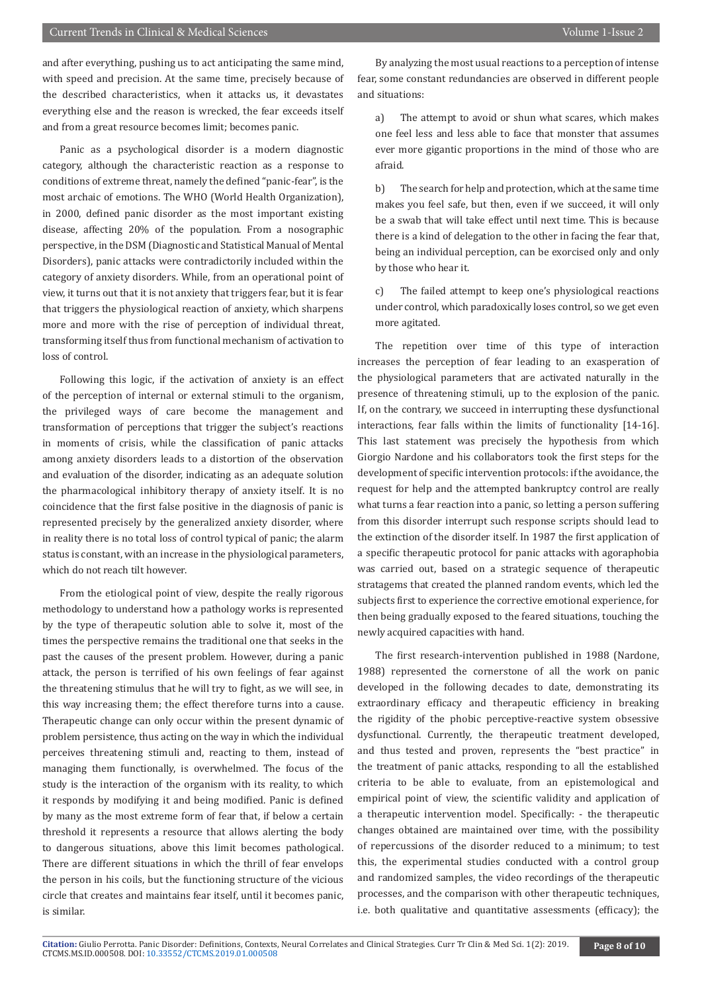and after everything, pushing us to act anticipating the same mind, with speed and precision. At the same time, precisely because of the described characteristics, when it attacks us, it devastates everything else and the reason is wrecked, the fear exceeds itself and from a great resource becomes limit; becomes panic.

Panic as a psychological disorder is a modern diagnostic category, although the characteristic reaction as a response to conditions of extreme threat, namely the defined "panic-fear", is the most archaic of emotions. The WHO (World Health Organization), in 2000, defined panic disorder as the most important existing disease, affecting 20% of the population. From a nosographic perspective, in the DSM (Diagnostic and Statistical Manual of Mental Disorders), panic attacks were contradictorily included within the category of anxiety disorders. While, from an operational point of view, it turns out that it is not anxiety that triggers fear, but it is fear that triggers the physiological reaction of anxiety, which sharpens more and more with the rise of perception of individual threat, transforming itself thus from functional mechanism of activation to loss of control.

Following this logic, if the activation of anxiety is an effect of the perception of internal or external stimuli to the organism, the privileged ways of care become the management and transformation of perceptions that trigger the subject's reactions in moments of crisis, while the classification of panic attacks among anxiety disorders leads to a distortion of the observation and evaluation of the disorder, indicating as an adequate solution the pharmacological inhibitory therapy of anxiety itself. It is no coincidence that the first false positive in the diagnosis of panic is represented precisely by the generalized anxiety disorder, where in reality there is no total loss of control typical of panic; the alarm status is constant, with an increase in the physiological parameters, which do not reach tilt however.

From the etiological point of view, despite the really rigorous methodology to understand how a pathology works is represented by the type of therapeutic solution able to solve it, most of the times the perspective remains the traditional one that seeks in the past the causes of the present problem. However, during a panic attack, the person is terrified of his own feelings of fear against the threatening stimulus that he will try to fight, as we will see, in this way increasing them; the effect therefore turns into a cause. Therapeutic change can only occur within the present dynamic of problem persistence, thus acting on the way in which the individual perceives threatening stimuli and, reacting to them, instead of managing them functionally, is overwhelmed. The focus of the study is the interaction of the organism with its reality, to which it responds by modifying it and being modified. Panic is defined by many as the most extreme form of fear that, if below a certain threshold it represents a resource that allows alerting the body to dangerous situations, above this limit becomes pathological. There are different situations in which the thrill of fear envelops the person in his coils, but the functioning structure of the vicious circle that creates and maintains fear itself, until it becomes panic, is similar.

By analyzing the most usual reactions to a perception of intense fear, some constant redundancies are observed in different people and situations:

a) The attempt to avoid or shun what scares, which makes one feel less and less able to face that monster that assumes ever more gigantic proportions in the mind of those who are afraid.

b) The search for help and protection, which at the same time makes you feel safe, but then, even if we succeed, it will only be a swab that will take effect until next time. This is because there is a kind of delegation to the other in facing the fear that, being an individual perception, can be exorcised only and only by those who hear it.

c) The failed attempt to keep one's physiological reactions under control, which paradoxically loses control, so we get even more agitated.

The repetition over time of this type of interaction increases the perception of fear leading to an exasperation of the physiological parameters that are activated naturally in the presence of threatening stimuli, up to the explosion of the panic. If, on the contrary, we succeed in interrupting these dysfunctional interactions, fear falls within the limits of functionality [14-16]. This last statement was precisely the hypothesis from which Giorgio Nardone and his collaborators took the first steps for the development of specific intervention protocols: if the avoidance, the request for help and the attempted bankruptcy control are really what turns a fear reaction into a panic, so letting a person suffering from this disorder interrupt such response scripts should lead to the extinction of the disorder itself. In 1987 the first application of a specific therapeutic protocol for panic attacks with agoraphobia was carried out, based on a strategic sequence of therapeutic stratagems that created the planned random events, which led the subjects first to experience the corrective emotional experience, for then being gradually exposed to the feared situations, touching the newly acquired capacities with hand.

The first research-intervention published in 1988 (Nardone, 1988) represented the cornerstone of all the work on panic developed in the following decades to date, demonstrating its extraordinary efficacy and therapeutic efficiency in breaking the rigidity of the phobic perceptive-reactive system obsessive dysfunctional. Currently, the therapeutic treatment developed, and thus tested and proven, represents the "best practice" in the treatment of panic attacks, responding to all the established criteria to be able to evaluate, from an epistemological and empirical point of view, the scientific validity and application of a therapeutic intervention model. Specifically: - the therapeutic changes obtained are maintained over time, with the possibility of repercussions of the disorder reduced to a minimum; to test this, the experimental studies conducted with a control group and randomized samples, the video recordings of the therapeutic processes, and the comparison with other therapeutic techniques, i.e. both qualitative and quantitative assessments (efficacy); the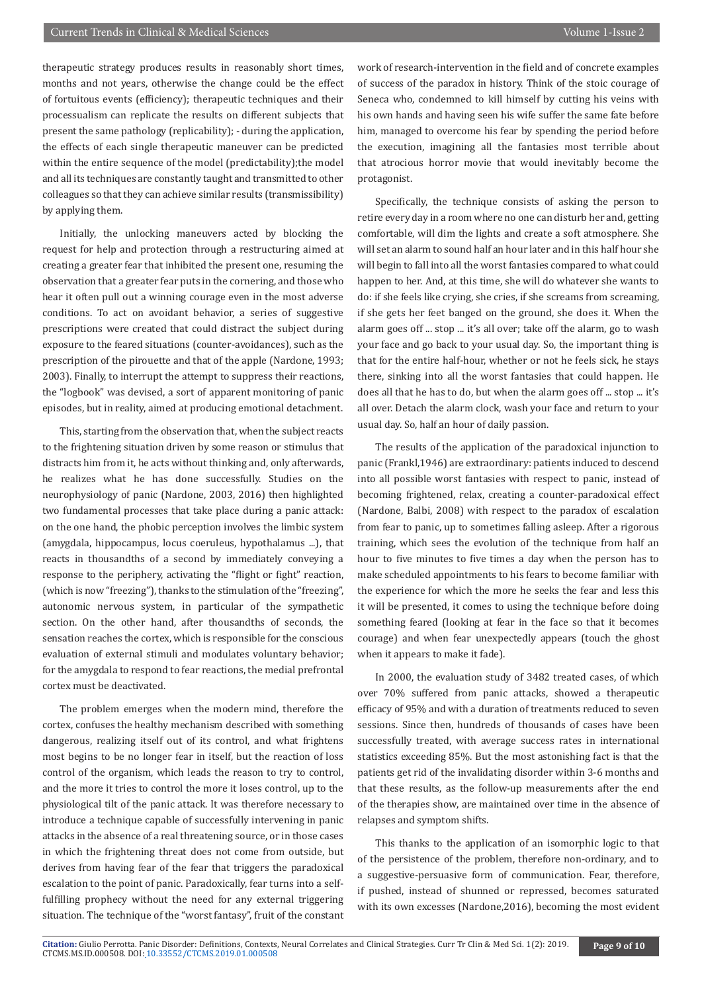therapeutic strategy produces results in reasonably short times, months and not years, otherwise the change could be the effect of fortuitous events (efficiency); therapeutic techniques and their processualism can replicate the results on different subjects that present the same pathology (replicability); - during the application, the effects of each single therapeutic maneuver can be predicted within the entire sequence of the model (predictability); the model and all its techniques are constantly taught and transmitted to other colleagues so that they can achieve similar results (transmissibility) by applying them.

Initially, the unlocking maneuvers acted by blocking the request for help and protection through a restructuring aimed at creating a greater fear that inhibited the present one, resuming the observation that a greater fear puts in the cornering, and those who hear it often pull out a winning courage even in the most adverse conditions. To act on avoidant behavior, a series of suggestive prescriptions were created that could distract the subject during exposure to the feared situations (counter-avoidances), such as the prescription of the pirouette and that of the apple (Nardone, 1993; 2003). Finally, to interrupt the attempt to suppress their reactions, the "logbook" was devised, a sort of apparent monitoring of panic episodes, but in reality, aimed at producing emotional detachment.

This, starting from the observation that, when the subject reacts to the frightening situation driven by some reason or stimulus that distracts him from it, he acts without thinking and, only afterwards, he realizes what he has done successfully. Studies on the neurophysiology of panic (Nardone, 2003, 2016) then highlighted two fundamental processes that take place during a panic attack: on the one hand, the phobic perception involves the limbic system (amygdala, hippocampus, locus coeruleus, hypothalamus ...), that reacts in thousandths of a second by immediately conveying a response to the periphery, activating the "flight or fight" reaction, (which is now "freezing"), thanks to the stimulation of the "freezing", autonomic nervous system, in particular of the sympathetic section. On the other hand, after thousandths of seconds, the sensation reaches the cortex, which is responsible for the conscious evaluation of external stimuli and modulates voluntary behavior; for the amygdala to respond to fear reactions, the medial prefrontal cortex must be deactivated.

The problem emerges when the modern mind, therefore the cortex, confuses the healthy mechanism described with something dangerous, realizing itself out of its control, and what frightens most begins to be no longer fear in itself, but the reaction of loss control of the organism, which leads the reason to try to control, and the more it tries to control the more it loses control, up to the physiological tilt of the panic attack. It was therefore necessary to introduce a technique capable of successfully intervening in panic attacks in the absence of a real threatening source, or in those cases in which the frightening threat does not come from outside, but derives from having fear of the fear that triggers the paradoxical escalation to the point of panic. Paradoxically, fear turns into a selffulfilling prophecy without the need for any external triggering situation. The technique of the "worst fantasy", fruit of the constant work of research-intervention in the field and of concrete examples of success of the paradox in history. Think of the stoic courage of Seneca who, condemned to kill himself by cutting his veins with his own hands and having seen his wife suffer the same fate before him, managed to overcome his fear by spending the period before the execution, imagining all the fantasies most terrible about that atrocious horror movie that would inevitably become the protagonist.

Specifically, the technique consists of asking the person to retire every day in a room where no one can disturb her and, getting comfortable, will dim the lights and create a soft atmosphere. She will set an alarm to sound half an hour later and in this half hour she will begin to fall into all the worst fantasies compared to what could happen to her. And, at this time, she will do whatever she wants to do: if she feels like crying, she cries, if she screams from screaming, if she gets her feet banged on the ground, she does it. When the alarm goes off ... stop ... it's all over; take off the alarm, go to wash your face and go back to your usual day. So, the important thing is that for the entire half-hour, whether or not he feels sick, he stays there, sinking into all the worst fantasies that could happen. He does all that he has to do, but when the alarm goes off ... stop ... it's all over. Detach the alarm clock, wash your face and return to your usual day. So, half an hour of daily passion.

The results of the application of the paradoxical injunction to panic (Frankl,1946) are extraordinary: patients induced to descend into all possible worst fantasies with respect to panic, instead of becoming frightened, relax, creating a counter-paradoxical effect (Nardone, Balbi, 2008) with respect to the paradox of escalation from fear to panic, up to sometimes falling asleep. After a rigorous training, which sees the evolution of the technique from half an hour to five minutes to five times a day when the person has to make scheduled appointments to his fears to become familiar with the experience for which the more he seeks the fear and less this it will be presented, it comes to using the technique before doing something feared (looking at fear in the face so that it becomes courage) and when fear unexpectedly appears (touch the ghost when it appears to make it fade).

In 2000, the evaluation study of 3482 treated cases, of which over 70% suffered from panic attacks, showed a therapeutic efficacy of 95% and with a duration of treatments reduced to seven sessions. Since then, hundreds of thousands of cases have been successfully treated, with average success rates in international statistics exceeding 85%. But the most astonishing fact is that the patients get rid of the invalidating disorder within 3-6 months and that these results, as the follow-up measurements after the end of the therapies show, are maintained over time in the absence of relapses and symptom shifts.

This thanks to the application of an isomorphic logic to that of the persistence of the problem, therefore non-ordinary, and to a suggestive-persuasive form of communication. Fear, therefore, if pushed, instead of shunned or repressed, becomes saturated with its own excesses (Nardone,2016), becoming the most evident